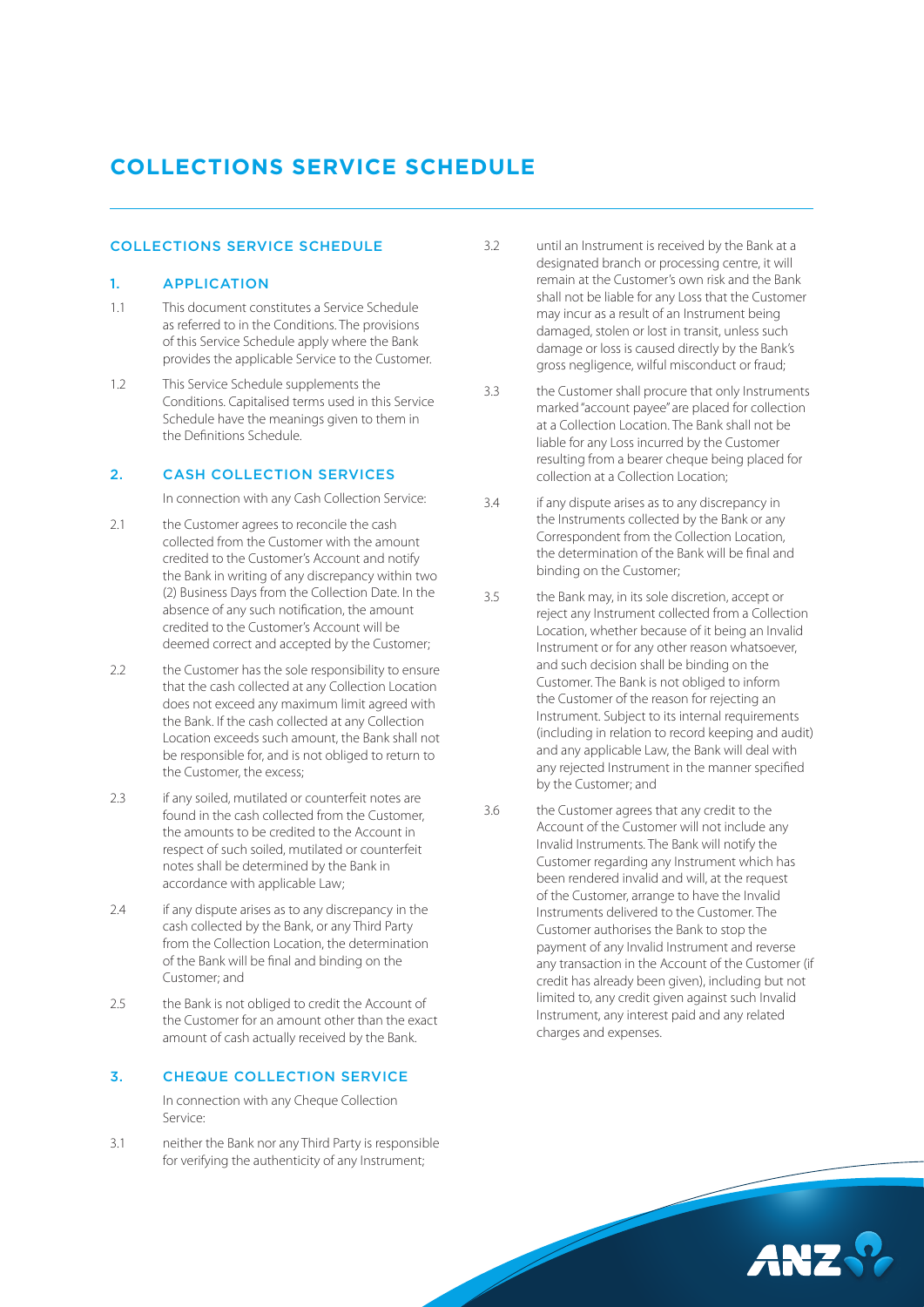# **COLLECTIONS SERVICE SCHEDULE**

#### COLLECTIONS SERVICE SCHEDULE

#### 1. APPLICATION

- 1.1 This document constitutes a Service Schedule as referred to in the Conditions. The provisions of this Service Schedule apply where the Bank provides the applicable Service to the Customer.
- 1.2 This Service Schedule supplements the Conditions. Capitalised terms used in this Service Schedule have the meanings given to them in the Definitions Schedule.

# 2. CASH COLLECTION SERVICES

In connection with any Cash Collection Service:

- 2.1 the Customer agrees to reconcile the cash collected from the Customer with the amount credited to the Customer's Account and notify the Bank in writing of any discrepancy within two (2) Business Days from the Collection Date. In the absence of any such notification, the amount credited to the Customer's Account will be deemed correct and accepted by the Customer;
- 2.2 the Customer has the sole responsibility to ensure that the cash collected at any Collection Location does not exceed any maximum limit agreed with the Bank. If the cash collected at any Collection Location exceeds such amount, the Bank shall not be responsible for, and is not obliged to return to the Customer, the excess;
- 2.3 if any soiled, mutilated or counterfeit notes are found in the cash collected from the Customer, the amounts to be credited to the Account in respect of such soiled, mutilated or counterfeit notes shall be determined by the Bank in accordance with applicable Law;
- 2.4 if any dispute arises as to any discrepancy in the cash collected by the Bank, or any Third Party from the Collection Location, the determination of the Bank will be final and binding on the Customer; and
- 2.5 the Bank is not obliged to credit the Account of the Customer for an amount other than the exact amount of cash actually received by the Bank.

#### 3. CHEQUE COLLECTION SERVICE

 In connection with any Cheque Collection Service:

3.1 neither the Bank nor any Third Party is responsible for verifying the authenticity of any Instrument;

- 3.2 until an Instrument is received by the Bank at a designated branch or processing centre, it will remain at the Customer's own risk and the Bank shall not be liable for any Loss that the Customer may incur as a result of an Instrument being damaged, stolen or lost in transit, unless such damage or loss is caused directly by the Bank's gross negligence, wilful misconduct or fraud;
- 3.3 the Customer shall procure that only Instruments marked "account payee" are placed for collection at a Collection Location. The Bank shall not be liable for any Loss incurred by the Customer resulting from a bearer cheque being placed for collection at a Collection Location;
- 3.4 if any dispute arises as to any discrepancy in the Instruments collected by the Bank or any Correspondent from the Collection Location, the determination of the Bank will be final and binding on the Customer;
- 3.5 the Bank may, in its sole discretion, accept or reject any Instrument collected from a Collection Location, whether because of it being an Invalid Instrument or for any other reason whatsoever, and such decision shall be binding on the Customer. The Bank is not obliged to inform the Customer of the reason for rejecting an Instrument. Subject to its internal requirements (including in relation to record keeping and audit) and any applicable Law, the Bank will deal with any rejected Instrument in the manner specified by the Customer; and
- 3.6 the Customer agrees that any credit to the Account of the Customer will not include any Invalid Instruments. The Bank will notify the Customer regarding any Instrument which has been rendered invalid and will, at the request of the Customer, arrange to have the Invalid Instruments delivered to the Customer. The Customer authorises the Bank to stop the payment of any Invalid Instrument and reverse any transaction in the Account of the Customer (if credit has already been given), including but not limited to, any credit given against such Invalid Instrument, any interest paid and any related charges and expenses.

AN7.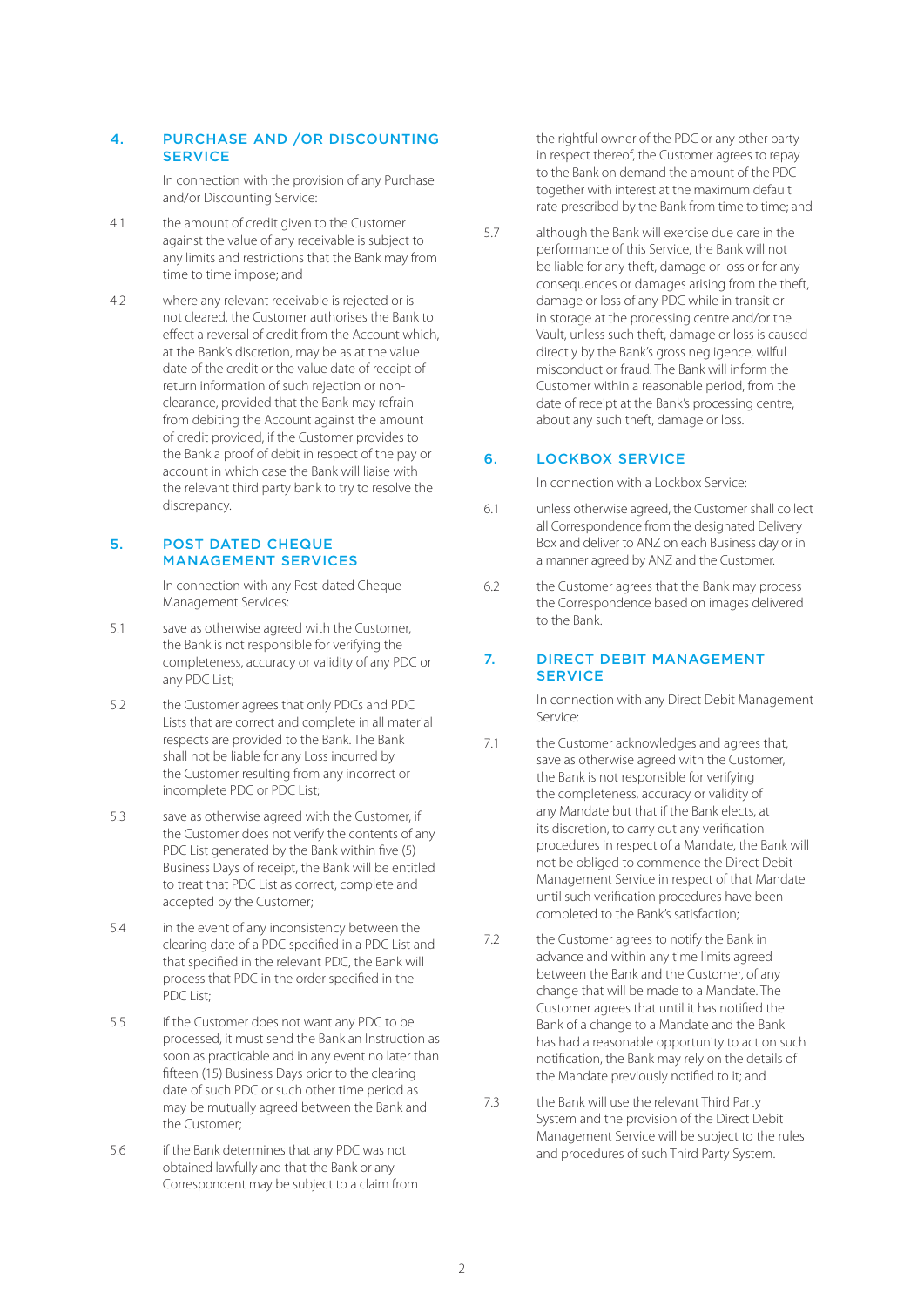### 4. PURCHASE AND /OR DISCOUNTING **SERVICE**

 In connection with the provision of any Purchase and/or Discounting Service:

- 4.1 the amount of credit given to the Customer against the value of any receivable is subject to any limits and restrictions that the Bank may from time to time impose; and
- 4.2 where any relevant receivable is rejected or is not cleared, the Customer authorises the Bank to effect a reversal of credit from the Account which, at the Bank's discretion, may be as at the value date of the credit or the value date of receipt of return information of such rejection or nonclearance, provided that the Bank may refrain from debiting the Account against the amount of credit provided, if the Customer provides to the Bank a proof of debit in respect of the pay or account in which case the Bank will liaise with the relevant third party bank to try to resolve the discrepancy.

#### 5. POST DATED CHEQUE MANAGEMENT SERVICES

 In connection with any Post-dated Cheque Management Services:

- 5.1 save as otherwise agreed with the Customer. the Bank is not responsible for verifying the completeness, accuracy or validity of any PDC or any PDC List;
- 5.2 the Customer agrees that only PDCs and PDC Lists that are correct and complete in all material respects are provided to the Bank. The Bank shall not be liable for any Loss incurred by the Customer resulting from any incorrect or incomplete PDC or PDC List;
- 5.3 save as otherwise agreed with the Customer, if the Customer does not verify the contents of any PDC List generated by the Bank within five (5) Business Days of receipt, the Bank will be entitled to treat that PDC List as correct, complete and accepted by the Customer;
- 5.4 in the event of any inconsistency between the clearing date of a PDC specified in a PDC List and that specified in the relevant PDC, the Bank will process that PDC in the order specified in the PDC List;
- 5.5 if the Customer does not want any PDC to be processed, it must send the Bank an Instruction as soon as practicable and in any event no later than fifteen (15) Business Days prior to the clearing date of such PDC or such other time period as may be mutually agreed between the Bank and the Customer;
- 5.6 if the Bank determines that any PDC was not obtained lawfully and that the Bank or any Correspondent may be subject to a claim from

the rightful owner of the PDC or any other party in respect thereof, the Customer agrees to repay to the Bank on demand the amount of the PDC together with interest at the maximum default rate prescribed by the Bank from time to time; and

5.7 although the Bank will exercise due care in the performance of this Service, the Bank will not be liable for any theft, damage or loss or for any consequences or damages arising from the theft, damage or loss of any PDC while in transit or in storage at the processing centre and/or the Vault, unless such theft, damage or loss is caused directly by the Bank's gross negligence, wilful misconduct or fraud. The Bank will inform the Customer within a reasonable period, from the date of receipt at the Bank's processing centre, about any such theft, damage or loss.

# 6. LOCKBOX SERVICE

In connection with a Lockbox Service:

- 6.1 unless otherwise agreed, the Customer shall collect all Correspondence from the designated Delivery Box and deliver to ANZ on each Business day or in a manner agreed by ANZ and the Customer.
- 6.2 the Customer agrees that the Bank may process the Correspondence based on images delivered to the Bank.

#### 7. DIRECT DEBIT MANAGEMENT **SERVICE**

 In connection with any Direct Debit Management Service:

- 7.1 the Customer acknowledges and agrees that, save as otherwise agreed with the Customer, the Bank is not responsible for verifying the completeness, accuracy or validity of any Mandate but that if the Bank elects, at its discretion, to carry out any verification procedures in respect of a Mandate, the Bank will not be obliged to commence the Direct Debit Management Service in respect of that Mandate until such verification procedures have been completed to the Bank's satisfaction;
- 7.2 the Customer agrees to notify the Bank in advance and within any time limits agreed between the Bank and the Customer, of any change that will be made to a Mandate. The Customer agrees that until it has notified the Bank of a change to a Mandate and the Bank has had a reasonable opportunity to act on such notification, the Bank may rely on the details of the Mandate previously notified to it; and
- 7.3 the Bank will use the relevant Third Party System and the provision of the Direct Debit Management Service will be subject to the rules and procedures of such Third Party System.